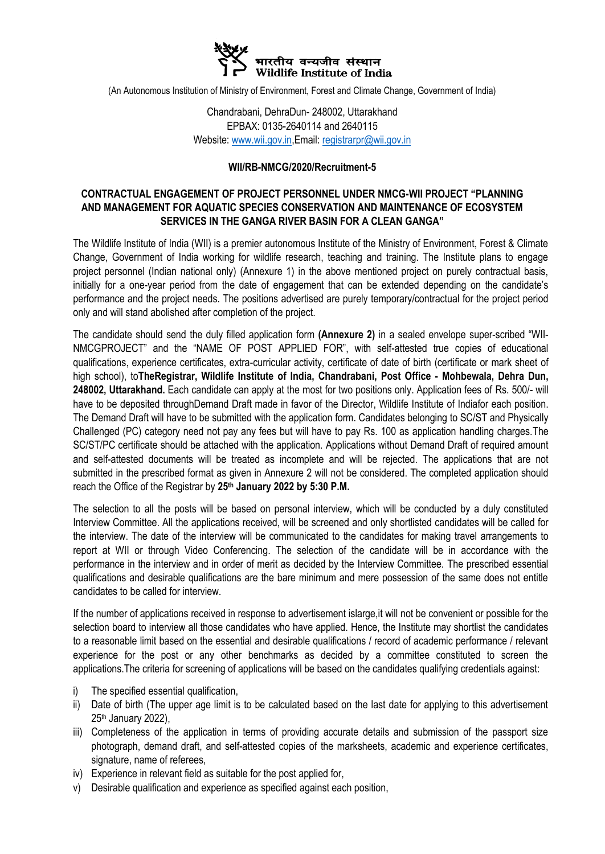

(An Autonomous Institution of Ministry of Environment, Forest and Climate Change, Government of India)

Chandrabani, DehraDun- 248002, Uttarakhand EPBAX: 0135-2640114 and 2640115 Website: [www.wii.gov.in,E](http://www.wii.gov.in/)mail: [registrarpr@wii.gov.in](mailto:registrarpr@wii.gov.in)

### **WII/RB-NMCG/2020/Recruitment-5**

### **CONTRACTUAL ENGAGEMENT OF PROJECT PERSONNEL UNDER NMCG-WII PROJECT "PLANNING AND MANAGEMENT FOR AQUATIC SPECIES CONSERVATION AND MAINTENANCE OF ECOSYSTEM SERVICES IN THE GANGA RIVER BASIN FOR A CLEAN GANGA"**

The Wildlife Institute of India (WII) is a premier autonomous Institute of the Ministry of Environment, Forest & Climate Change, Government of India working for wildlife research, teaching and training. The Institute plans to engage project personnel (Indian national only) (Annexure 1) in the above mentioned project on purely contractual basis, initially for a one-year period from the date of engagement that can be extended depending on the candidate's performance and the project needs. The positions advertised are purely temporary/contractual for the project period only and will stand abolished after completion of the project.

The candidate should send the duly filled application form **(Annexure 2)** in a sealed envelope super-scribed "WII-NMCGPROJECT" and the "NAME OF POST APPLIED FOR", with self-attested true copies of educational qualifications, experience certificates, extra-curricular activity, certificate of date of birth (certificate or mark sheet of high school), to**TheRegistrar, Wildlife Institute of India, Chandrabani, Post Office - Mohbewala, Dehra Dun, 248002, Uttarakhand.** Each candidate can apply at the most for two positions only. Application fees of Rs. 500/- will have to be deposited throughDemand Draft made in favor of the Director, Wildlife Institute of Indiafor each position. The Demand Draft will have to be submitted with the application form. Candidates belonging to SC/ST and Physically Challenged (PC) category need not pay any fees but will have to pay Rs. 100 as application handling charges.The SC/ST/PC certificate should be attached with the application. Applications without Demand Draft of required amount and self-attested documents will be treated as incomplete and will be rejected. The applications that are not submitted in the prescribed format as given in Annexure 2 will not be considered. The completed application should reach the Office of the Registrar by **25th January 2022 by 5:30 P.M.**

The selection to all the posts will be based on personal interview, which will be conducted by a duly constituted Interview Committee. All the applications received, will be screened and only shortlisted candidates will be called for the interview. The date of the interview will be communicated to the candidates for making travel arrangements to report at WII or through Video Conferencing. The selection of the candidate will be in accordance with the performance in the interview and in order of merit as decided by the Interview Committee. The prescribed essential qualifications and desirable qualifications are the bare minimum and mere possession of the same does not entitle candidates to be called for interview.

If the number of applications received in response to advertisement islarge,it will not be convenient or possible for the selection board to interview all those candidates who have applied. Hence, the Institute may shortlist the candidates to a reasonable limit based on the essential and desirable qualifications / record of academic performance / relevant experience for the post or any other benchmarks as decided by a committee constituted to screen the applications.The criteria for screening of applications will be based on the candidates qualifying credentials against:

- i) The specified essential qualification,
- ii) Date of birth (The upper age limit is to be calculated based on the last date for applying to this advertisement 25th January 2022),
- iii) Completeness of the application in terms of providing accurate details and submission of the passport size photograph, demand draft, and self-attested copies of the marksheets, academic and experience certificates, signature, name of referees,
- iv) Experience in relevant field as suitable for the post applied for,
- v) Desirable qualification and experience as specified against each position,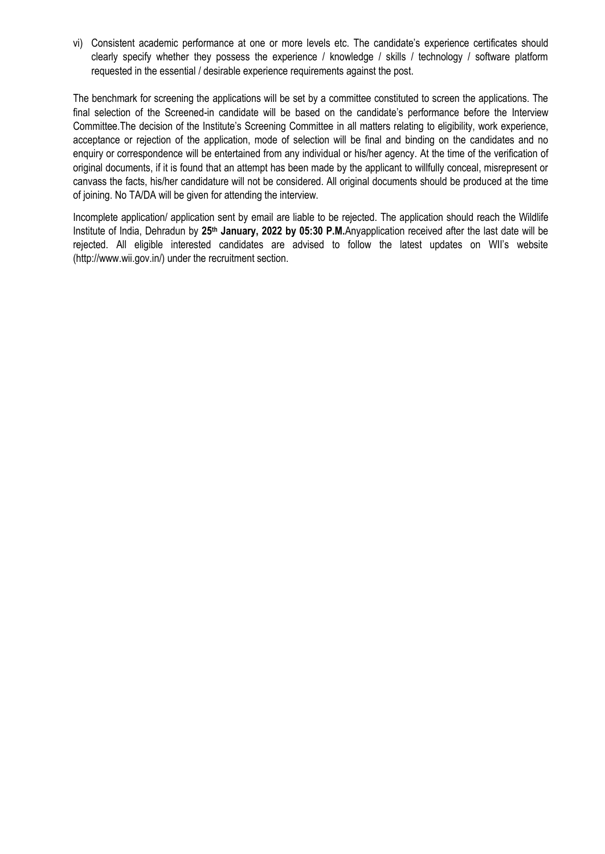vi) Consistent academic performance at one or more levels etc. The candidate's experience certificates should clearly specify whether they possess the experience / knowledge / skills / technology / software platform requested in the essential / desirable experience requirements against the post.

The benchmark for screening the applications will be set by a committee constituted to screen the applications. The final selection of the Screened-in candidate will be based on the candidate's performance before the Interview Committee.The decision of the Institute's Screening Committee in all matters relating to eligibility, work experience, acceptance or rejection of the application, mode of selection will be final and binding on the candidates and no enquiry or correspondence will be entertained from any individual or his/her agency. At the time of the verification of original documents, if it is found that an attempt has been made by the applicant to willfully conceal, misrepresent or canvass the facts, his/her candidature will not be considered. All original documents should be produced at the time of joining. No TA/DA will be given for attending the interview.

Incomplete application/ application sent by email are liable to be rejected. The application should reach the Wildlife Institute of India, Dehradun by **25th January, 2022 by 05:30 P.M.**Anyapplication received after the last date will be rejected. All eligible interested candidates are advised to follow the latest updates on WII's website (http://www.wii.gov.in/) under the recruitment section.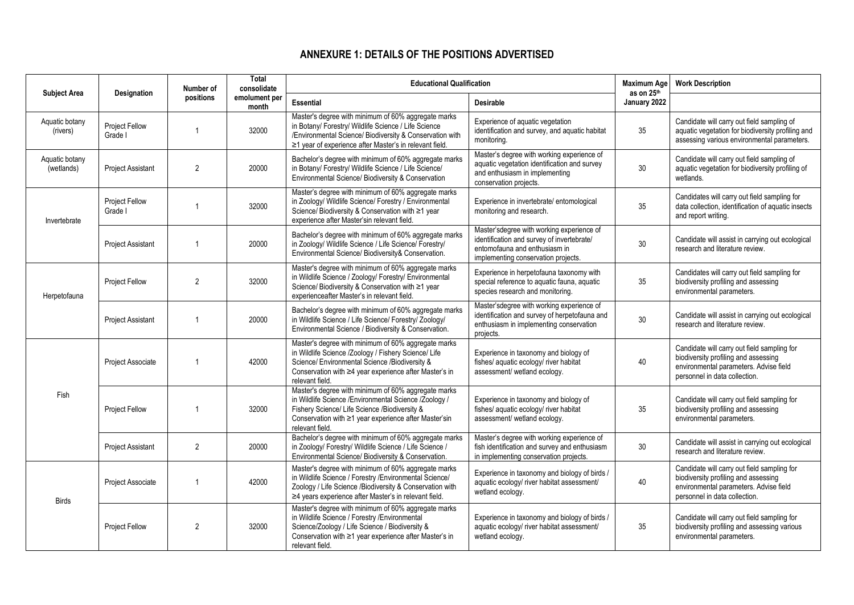# **ANNEXURE 1: DETAILS OF THE POSITIONS ADVERTISED**

| <b>Subject Area</b>                                       | Designation                      | Number of                                                                                                                                                                                                         | <b>Total</b><br>consolidate                                                                                                                                     | <b>Educational Qualification</b>                                                                                                                                                                                                                                                                                               |                                                                                                                                                    | <b>Maximum Age</b><br>as on 25 <sup>th</sup> | <b>Work Description</b>                                                                                                                                        |
|-----------------------------------------------------------|----------------------------------|-------------------------------------------------------------------------------------------------------------------------------------------------------------------------------------------------------------------|-----------------------------------------------------------------------------------------------------------------------------------------------------------------|--------------------------------------------------------------------------------------------------------------------------------------------------------------------------------------------------------------------------------------------------------------------------------------------------------------------------------|----------------------------------------------------------------------------------------------------------------------------------------------------|----------------------------------------------|----------------------------------------------------------------------------------------------------------------------------------------------------------------|
|                                                           |                                  | positions                                                                                                                                                                                                         | emolument per<br>month                                                                                                                                          | <b>Essential</b>                                                                                                                                                                                                                                                                                                               | <b>Desirable</b>                                                                                                                                   | January 2022                                 |                                                                                                                                                                |
| Aquatic botany<br>(rivers)                                | <b>Project Fellow</b><br>Grade I | $\mathbf{1}$                                                                                                                                                                                                      | 32000                                                                                                                                                           | Master's degree with minimum of 60% aggregate marks<br>in Botany/ Forestry/ Wildlife Science / Life Science<br>/Environmental Science/ Biodiversity & Conservation with<br>≥1 year of experience after Master's in relevant field.                                                                                             | Experience of aquatic vegetation<br>identification and survey, and aquatic habitat<br>monitoring.                                                  | 35                                           | Candidate will carry out field sampling of<br>aquatic vegetation for biodiversity profiling and<br>assessing various environmental parameters.                 |
| Aquatic botany<br>(wetlands)                              | <b>Project Assistant</b>         | $\overline{2}$                                                                                                                                                                                                    | 20000                                                                                                                                                           | Master's degree with working experience of<br>Bachelor's degree with minimum of 60% aggregate marks<br>aquatic vegetation identification and survey<br>in Botany/ Forestry/ Wildlife Science / Life Science/<br>and enthusiasm in implementing<br>Environmental Science/ Biodiversity & Conservation<br>conservation projects. |                                                                                                                                                    | 30                                           | Candidate will carry out field sampling of<br>aquatic vegetation for biodiversity profiling of<br>wetlands.                                                    |
| Invertebrate                                              | Project Fellow<br>Grade I        | 1                                                                                                                                                                                                                 | 32000                                                                                                                                                           | Master's degree with minimum of 60% aggregate marks<br>in Zoology/ Wildlife Science/ Forestry / Environmental<br>Science/Biodiversity & Conservation with ≥1 year<br>experience after Master'sin relevant field.                                                                                                               | Experience in invertebrate/ entomological<br>monitoring and research.                                                                              | 35                                           | Candidates will carry out field sampling for<br>data collection, identification of aquatic insects<br>and report writing.                                      |
| 20000<br><b>Project Assistant</b><br>$\mathbf{1}$         |                                  | Bachelor's degree with minimum of 60% aggregate marks<br>in Zoology/ Wildlife Science / Life Science/ Forestry/<br>Environmental Science/ Biodiversity& Conservation.                                             | Master'sdegree with working experience of<br>identification and survey of invertebrate/<br>entomofauna and enthusiasm in<br>implementing conservation projects. | 30                                                                                                                                                                                                                                                                                                                             | Candidate will assist in carrying out ecological<br>research and literature review.                                                                |                                              |                                                                                                                                                                |
| Project Fellow<br>$\overline{2}$<br>32000<br>Herpetofauna |                                  | Master's degree with minimum of 60% aggregate marks<br>in Wildlife Science / Zoology/ Forestry/ Environmental<br>Science/ Biodiversity & Conservation with ≥1 year<br>experienceafter Master's in relevant field. | Experience in herpetofauna taxonomy with<br>special reference to aquatic fauna, aquatic<br>species research and monitoring.                                     | 35                                                                                                                                                                                                                                                                                                                             | Candidates will carry out field sampling for<br>biodiversity profiling and assessing<br>environmental parameters.                                  |                                              |                                                                                                                                                                |
|                                                           | <b>Project Assistant</b>         | 1                                                                                                                                                                                                                 | 20000                                                                                                                                                           | Bachelor's degree with minimum of 60% aggregate marks<br>in Wildlife Science / Life Science/ Forestry/ Zoology/<br>Environmental Science / Biodiversity & Conservation.                                                                                                                                                        | Master'sdegree with working experience of<br>identification and survey of herpetofauna and<br>enthusiasm in implementing conservation<br>projects. | 30                                           | Candidate will assist in carrying out ecological<br>research and literature review.                                                                            |
|                                                           | Project Associate                | $\mathbf{1}$                                                                                                                                                                                                      | 42000                                                                                                                                                           | Master's degree with minimum of 60% aggregate marks<br>in Wildlife Science /Zoology / Fishery Science/ Life<br>Science/ Environmental Science /Biodiversity &<br>Conservation with ≥4 year experience after Master's in<br>relevant field.                                                                                     | Experience in taxonomy and biology of<br>fishes/ aquatic ecology/ river habitat<br>assessment/ wetland ecology.                                    | 40                                           | Candidate will carry out field sampling for<br>biodiversity profiling and assessing<br>environmental parameters. Advise field<br>personnel in data collection. |
| Fish                                                      | Project Fellow                   | 1                                                                                                                                                                                                                 | 32000                                                                                                                                                           | Master's degree with minimum of 60% aggregate marks<br>in Wildlife Science /Environmental Science /Zoology /<br>Fishery Science/ Life Science / Biodiversity &<br>Conservation with ≥1 year experience after Master'sin<br>relevant field.                                                                                     | Experience in taxonomy and biology of<br>fishes/ aquatic ecology/ river habitat<br>assessment/ wetland ecology.                                    | 35                                           | Candidate will carry out field sampling for<br>biodiversity profiling and assessing<br>environmental parameters.                                               |
|                                                           | <b>Project Assistant</b>         | $\overline{2}$                                                                                                                                                                                                    | 20000                                                                                                                                                           | Bachelor's degree with minimum of 60% aggregate marks<br>in Zoology/ Forestry/ Wildlife Science / Life Science /<br>Environmental Science/ Biodiversity & Conservation.                                                                                                                                                        | Master's degree with working experience of<br>fish identification and survey and enthusiasm<br>in implementing conservation projects.              | 30                                           | Candidate will assist in carrying out ecological<br>research and literature review.                                                                            |
|                                                           | Project Associate                | $\mathbf{1}$                                                                                                                                                                                                      | 42000                                                                                                                                                           | Master's degree with minimum of 60% aggregate marks<br>in Wildlife Science / Forestry / Environmental Science/<br>Zoology / Life Science / Biodiversity & Conservation with<br>≥4 years experience after Master's in relevant field.                                                                                           | Experience in taxonomy and biology of birds /<br>aquatic ecology/ river habitat assessment/<br>wetland ecology.                                    | 40                                           | Candidate will carry out field sampling for<br>biodiversity profiling and assessing<br>environmental parameters. Advise field<br>personnel in data collection. |
| <b>Birds</b>                                              | <b>Project Fellow</b>            | $\overline{2}$                                                                                                                                                                                                    | 32000                                                                                                                                                           | Master's degree with minimum of 60% aggregate marks<br>in Wildlife Science / Forestry /Environmental<br>Science/Zoology / Life Science / Biodiversity &<br>Conservation with ≥1 year experience after Master's in<br>relevant field.                                                                                           | Experience in taxonomy and biology of birds /<br>aquatic ecology/ river habitat assessment/<br>wetland ecology.                                    | 35                                           | Candidate will carry out field sampling for<br>biodiversity profiling and assessing various<br>environmental parameters.                                       |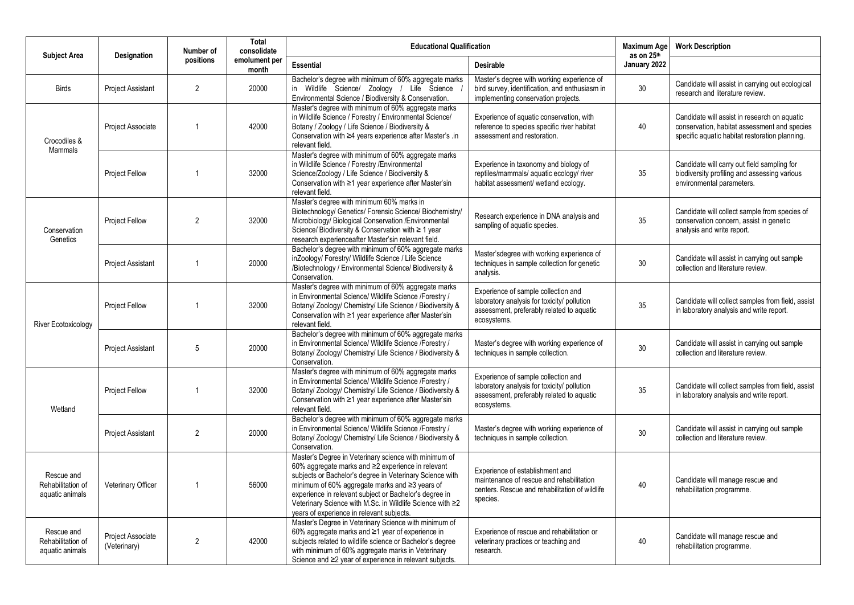| <b>Subject Area</b>                                                                                                | Designation                       | Number of                                                                                                                                                                                                                   | <b>Total</b><br>consolidate                                             | <b>Educational Qualification</b>                                                                                                                                                                                                                                                                                                                                                             |                                                                                                                                                | <b>Maximum Age</b><br>as on 25th | <b>Work Description</b>                                                                                                                        |
|--------------------------------------------------------------------------------------------------------------------|-----------------------------------|-----------------------------------------------------------------------------------------------------------------------------------------------------------------------------------------------------------------------------|-------------------------------------------------------------------------|----------------------------------------------------------------------------------------------------------------------------------------------------------------------------------------------------------------------------------------------------------------------------------------------------------------------------------------------------------------------------------------------|------------------------------------------------------------------------------------------------------------------------------------------------|----------------------------------|------------------------------------------------------------------------------------------------------------------------------------------------|
|                                                                                                                    |                                   | positions                                                                                                                                                                                                                   | emolument per<br>month                                                  | <b>Essential</b>                                                                                                                                                                                                                                                                                                                                                                             | <b>Desirable</b>                                                                                                                               | January 2022                     |                                                                                                                                                |
| <b>Birds</b>                                                                                                       | <b>Project Assistant</b>          | $\overline{2}$                                                                                                                                                                                                              | 20000                                                                   | Bachelor's degree with minimum of 60% aggregate marks<br>in Wildlife Science/ Zoology / Life Science<br>Environmental Science / Biodiversity & Conservation.                                                                                                                                                                                                                                 | Master's degree with working experience of<br>bird survey, identification, and enthusiasm in<br>implementing conservation projects.            | 30 <sup>°</sup>                  | Candidate will assist in carrying out ecological<br>research and literature review.                                                            |
| Crocodiles &                                                                                                       | <b>Project Associate</b>          | $\overline{1}$                                                                                                                                                                                                              | 42000                                                                   | Master's degree with minimum of 60% aggregate marks<br>in Wildlife Science / Forestry / Environmental Science/<br>Botany / Zoology / Life Science / Biodiversity &<br>Conservation with ≥4 years experience after Master's .in<br>relevant field.                                                                                                                                            | Experience of aquatic conservation, with<br>reference to species specific river habitat<br>assessment and restoration.                         | 40                               | Candidate will assist in research on aquatic<br>conservation, habitat assessment and species<br>specific aquatic habitat restoration planning. |
| <b>Mammals</b>                                                                                                     | <b>Project Fellow</b>             | -1                                                                                                                                                                                                                          | 32000                                                                   | Master's degree with minimum of 60% aggregate marks<br>in Wildlife Science / Forestry / Environmental<br>Science/Zoology / Life Science / Biodiversity &<br>Conservation with ≥1 year experience after Master'sin<br>relevant field.                                                                                                                                                         | Experience in taxonomy and biology of<br>reptiles/mammals/ aquatic ecology/ river<br>habitat assessment/ wetland ecology.                      | 35                               | Candidate will carry out field sampling for<br>biodiversity profiling and assessing various<br>environmental parameters.                       |
| Master's degree with minimum 60% marks in<br>$\overline{2}$<br>Project Fellow<br>32000<br>Conservation<br>Genetics |                                   | Biotechnology/ Genetics/ Forensic Science/ Biochemistry/<br>Microbiology/Biological Conservation /Environmental<br>Science/Biodiversity & Conservation with ≥ 1 year<br>research experienceafter Master'sin relevant field. | Research experience in DNA analysis and<br>sampling of aquatic species. | 35                                                                                                                                                                                                                                                                                                                                                                                           | Candidate will collect sample from species of<br>conservation concern, assist in genetic<br>analysis and write report.                         |                                  |                                                                                                                                                |
|                                                                                                                    | <b>Project Assistant</b>          | $\mathbf{1}$                                                                                                                                                                                                                | 20000                                                                   | Bachelor's degree with minimum of 60% aggregate marks<br>inZoology/Forestry/Wildlife Science / Life Science<br>/Biotechnology / Environmental Science/ Biodiversity &<br>Conservation.                                                                                                                                                                                                       | Master'sdegree with working experience of<br>techniques in sample collection for genetic<br>analysis.                                          | 30 <sup>°</sup>                  | Candidate will assist in carrying out sample<br>collection and literature review.                                                              |
| River Ecotoxicology                                                                                                | <b>Project Fellow</b>             | $\overline{1}$                                                                                                                                                                                                              | 32000                                                                   | Master's degree with minimum of 60% aggregate marks<br>in Environmental Science/ Wildlife Science /Forestry /<br>Botany/ Zoology/ Chemistry/ Life Science / Biodiversity &<br>Conservation with ≥1 year experience after Master'sin<br>relevant field.                                                                                                                                       | Experience of sample collection and<br>laboratory analysis for toxicity/ pollution<br>assessment, preferably related to aquatic<br>ecosystems. | 35                               | Candidate will collect samples from field, assist<br>in laboratory analysis and write report.                                                  |
|                                                                                                                    | <b>Project Assistant</b>          | 5                                                                                                                                                                                                                           | 20000                                                                   | Bachelor's degree with minimum of 60% aggregate marks<br>in Environmental Science/ Wildlife Science /Forestry /<br>Botany/ Zoology/ Chemistry/ Life Science / Biodiversity &<br>Conservation.                                                                                                                                                                                                | Master's degree with working experience of<br>techniques in sample collection.                                                                 | 30                               | Candidate will assist in carrying out sample<br>collection and literature review.                                                              |
| Wetland                                                                                                            | Project Fellow                    | -1                                                                                                                                                                                                                          | 32000                                                                   | Master's degree with minimum of 60% aggregate marks<br>in Environmental Science/ Wildlife Science /Forestry /<br>Botany/ Zoology/ Chemistry/ Life Science / Biodiversity &<br>Conservation with ≥1 year experience after Master'sin<br>relevant field.                                                                                                                                       | Experience of sample collection and<br>laboratory analysis for toxicity/ pollution<br>assessment, preferably related to aquatic<br>ecosystems. | 35                               | Candidate will collect samples from field, assist<br>in laboratory analysis and write report.                                                  |
|                                                                                                                    | <b>Project Assistant</b>          | $\overline{2}$                                                                                                                                                                                                              | 20000                                                                   | Bachelor's degree with minimum of 60% aggregate marks<br>in Environmental Science/ Wildlife Science /Forestry /<br>Botany/ Zoology/ Chemistry/ Life Science / Biodiversity &<br>Conservation.                                                                                                                                                                                                | Master's degree with working experience of<br>techniques in sample collection.                                                                 | 30                               | Candidate will assist in carrying out sample<br>collection and literature review.                                                              |
| Rescue and<br>Rehabilitation of<br>aquatic animals                                                                 | Veterinary Officer                | -1                                                                                                                                                                                                                          | 56000                                                                   | Master's Degree in Veterinary science with minimum of<br>60% aggregate marks and ≥2 experience in relevant<br>subjects or Bachelor's degree in Veterinary Science with<br>minimum of 60% aggregate marks and ≥3 years of<br>experience in relevant subject or Bachelor's degree in<br>Veterinary Science with M.Sc. in Wildlife Science with ≥2<br>years of experience in relevant subjects. | Experience of establishment and<br>maintenance of rescue and rehabilitation<br>centers. Rescue and rehabilitation of wildlife<br>species.      | 40                               | Candidate will manage rescue and<br>rehabilitation programme.                                                                                  |
| Rescue and<br>Rehabilitation of<br>aquatic animals                                                                 | Project Associate<br>(Veterinary) | 2                                                                                                                                                                                                                           | 42000                                                                   | Master's Degree in Veterinary Science with minimum of<br>60% aggregate marks and ≥1 year of experience in<br>subjects related to wildlife science or Bachelor's degree<br>with minimum of 60% aggregate marks in Veterinary<br>Science and ≥2 year of experience in relevant subjects.                                                                                                       | Experience of rescue and rehabilitation or<br>veterinary practices or teaching and<br>research.                                                | 40                               | Candidate will manage rescue and<br>rehabilitation programme.                                                                                  |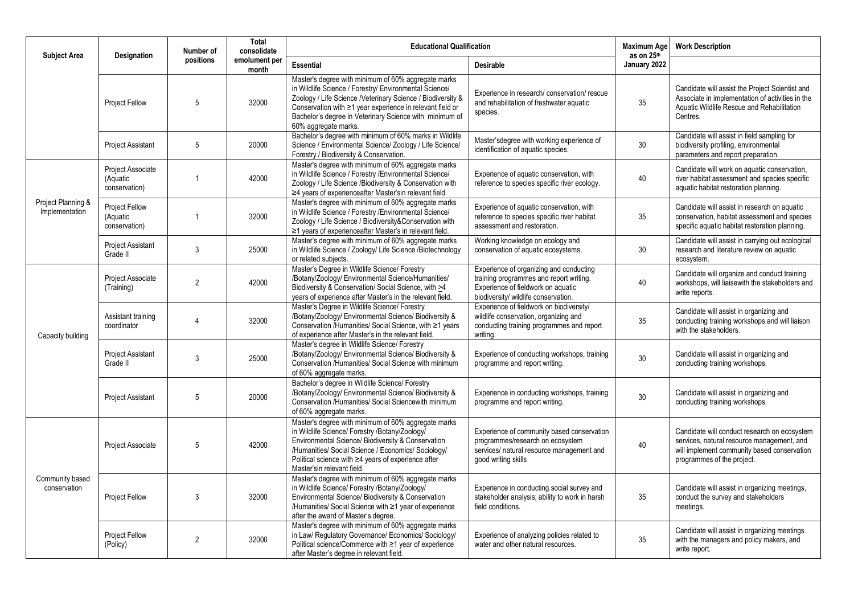| <b>Subject Area</b>                  | Designation                                        | Number of      | <b>Total</b><br>consolidate | <b>Educational Qualification</b>                                                                                                                                                                                                                                                                                                   |                                                                                                                                                                  | <b>Maximum Age</b><br>as on 25th | <b>Work Description</b>                                                                                                                                                 |
|--------------------------------------|----------------------------------------------------|----------------|-----------------------------|------------------------------------------------------------------------------------------------------------------------------------------------------------------------------------------------------------------------------------------------------------------------------------------------------------------------------------|------------------------------------------------------------------------------------------------------------------------------------------------------------------|----------------------------------|-------------------------------------------------------------------------------------------------------------------------------------------------------------------------|
|                                      |                                                    | positions      | emolument per<br>month      | <b>Essential</b><br><b>Desirable</b>                                                                                                                                                                                                                                                                                               |                                                                                                                                                                  | January 2022                     |                                                                                                                                                                         |
|                                      | <b>Project Fellow</b>                              | 5              | 32000                       | Master's degree with minimum of 60% aggregate marks<br>in Wildlife Science / Forestry/ Environmental Science/<br>Zoology / Life Science /Veterinary Science / Biodiversity &<br>Conservation with $\geq 1$ year experience in relevant field or<br>Bachelor's degree in Veterinary Science with minimum of<br>60% aggregate marks. | Experience in research/ conservation/ rescue<br>and rehabilitation of freshwater aquatic<br>species.                                                             | 35                               | Candidate will assist the Project Scientist and<br>Associate in implementation of activities in the<br>Aquatic Wildlife Rescue and Rehabilitation<br>Centres.           |
|                                      | <b>Project Assistant</b>                           | 5              | 20000                       | Bachelor's degree with minimum of 60% marks in Wildlife<br>Science / Environmental Science/ Zoology / Life Science/<br>Forestry / Biodiversity & Conservation.                                                                                                                                                                     | Master'sdegree with working experience of<br>identification of aquatic species.                                                                                  | 30 <sup>°</sup>                  | Candidate will assist in field sampling for<br>biodiversity profiling, environmental<br>parameters and report preparation.                                              |
|                                      | Project Associate<br>(Aquatic<br>conservation)     | $\overline{1}$ | 42000                       | Master's degree with minimum of 60% aggregate marks<br>in Wildlife Science / Forestry / Environmental Science/<br>Zoology / Life Science /Biodiversity & Conservation with<br>$\geq$ 4 years of experience after Master's in relevant field.                                                                                       | Experience of aquatic conservation, with<br>reference to species specific river ecology.                                                                         | 40                               | Candidate will work on aquatic conservation,<br>river habitat assessment and species specific<br>aquatic habitat restoration planning.                                  |
| Project Planning &<br>Implementation | <b>Project Fellow</b><br>(Aquatic<br>conservation) | $\overline{1}$ | 32000                       | Master's degree with minimum of 60% aggregate marks<br>in Wildlife Science / Forestry / Environmental Science/<br>Zoology / Life Science / Biodiversity&Conservation with<br>≥1 years of experienceafter Master's in relevant field.                                                                                               | Experience of aquatic conservation, with<br>reference to species specific river habitat<br>assessment and restoration.                                           | 35                               | Candidate will assist in research on aquatic<br>conservation, habitat assessment and species<br>specific aquatic habitat restoration planning.                          |
|                                      | <b>Project Assistant</b><br>Grade II               | $\sqrt{3}$     | 25000                       | Master's degree with minimum of 60% aggregate marks<br>in Wildlife Science / Zoology/ Life Science /Biotechnology<br>or related subjects.                                                                                                                                                                                          | Working knowledge on ecology and<br>conservation of aquatic ecosystems.                                                                                          | 30                               | Candidate will assist in carrying out ecological<br>research and literature review on aquatic<br>ecosystem.                                                             |
| Capacity building<br>Grade II        | Project Associate<br>(Training)                    | $\overline{2}$ | 42000                       | Master's Degree in Wildlife Science/ Forestry<br>/Botany/Zoology/ Environmental Science/Humanities/<br>Biodiversity & Conservation/ Social Science, with >4<br>years of experience after Master's in the relevant field.                                                                                                           | Experience of organizing and conducting<br>training programmes and report writing.<br>Experience of fieldwork on aquatic<br>biodiversity/ wildlife conservation. | 40                               | Candidate will organize and conduct training<br>workshops, will liaisewith the stakeholders and<br>write reports.                                                       |
|                                      | Assistant training<br>coordinator                  | $\overline{4}$ | 32000                       | Master's Degree in Wildlife Science/ Forestry<br>/Botany/Zoology/ Environmental Science/ Biodiversity &<br>Conservation /Humanities/ Social Science, with ≥1 years<br>of experience after Master's in the relevant field.                                                                                                          | Experience of fieldwork on biodiversity/<br>wildlife conservation, organizing and<br>conducting training programmes and report<br>writing.                       | 35                               | Candidate will assist in organizing and<br>conducting training workshops and will liaison<br>with the stakeholders.                                                     |
|                                      | <b>Project Assistant</b>                           | 3              | 25000                       | Master's degree in Wildlife Science/ Forestry<br>/Botany/Zoology/ Environmental Science/ Biodiversity &<br>Conservation /Humanities/ Social Science with minimum<br>of 60% aggregate marks.                                                                                                                                        | Experience of conducting workshops, training<br>programme and report writing.                                                                                    | 30 <sup>°</sup>                  | Candidate will assist in organizing and<br>conducting training workshops.                                                                                               |
|                                      | <b>Project Assistant</b>                           | 5              | 20000                       | Bachelor's degree in Wildlife Science/ Forestry<br>/Botany/Zoology/ Environmental Science/ Biodiversity &<br>Conservation / Humanities/ Social Sciencewith minimum<br>of 60% aggregate marks.                                                                                                                                      | Experience in conducting workshops, training<br>programme and report writing.                                                                                    | 30                               | Candidate will assist in organizing and<br>conducting training workshops.                                                                                               |
|                                      | <b>Project Associate</b>                           | 5              | 42000                       | Master's degree with minimum of 60% aggregate marks<br>in Wildlife Science/ Forestry /Botany/Zoology/<br>Environmental Science/ Biodiversity & Conservation<br>/Humanities/ Social Science / Economics/ Sociology/<br>Political science with ≥4 years of experience after<br>Master'sin relevant field.                            | Experience of community based conservation<br>programmes/research on ecosystem<br>services/ natural resource management and<br>good writing skills               | 40                               | Candidate will conduct research on ecosystem<br>services, natural resource management, and<br>will implement community based conservation<br>programmes of the project. |
| Community based<br>conservation      | <b>Project Fellow</b>                              | 3              | 32000                       | Master's degree with minimum of 60% aggregate marks<br>in Wildlife Science/ Forestry /Botany/Zoology/<br>Environmental Science/ Biodiversity & Conservation<br>/Humanities/ Social Science with ≥1 year of experience<br>after the award of Master's degree.                                                                       | Experience in conducting social survey and<br>stakeholder analysis; ability to work in harsh<br>field conditions.                                                | 35                               | Candidate will assist in organizing meetings,<br>conduct the survey and stakeholders<br>meetings.                                                                       |
|                                      | Project Fellow<br>(Policy)                         | $\overline{2}$ | 32000                       | Master's degree with minimum of 60% aggregate marks<br>in Law/ Regulatory Governance/ Economics/ Sociology/<br>Political science/Commerce with ≥1 year of experience<br>after Master's degree in relevant field.                                                                                                                   | Experience of analyzing policies related to<br>water and other natural resources.                                                                                | 35                               | Candidate will assist in organizing meetings<br>with the managers and policy makers, and<br>write report.                                                               |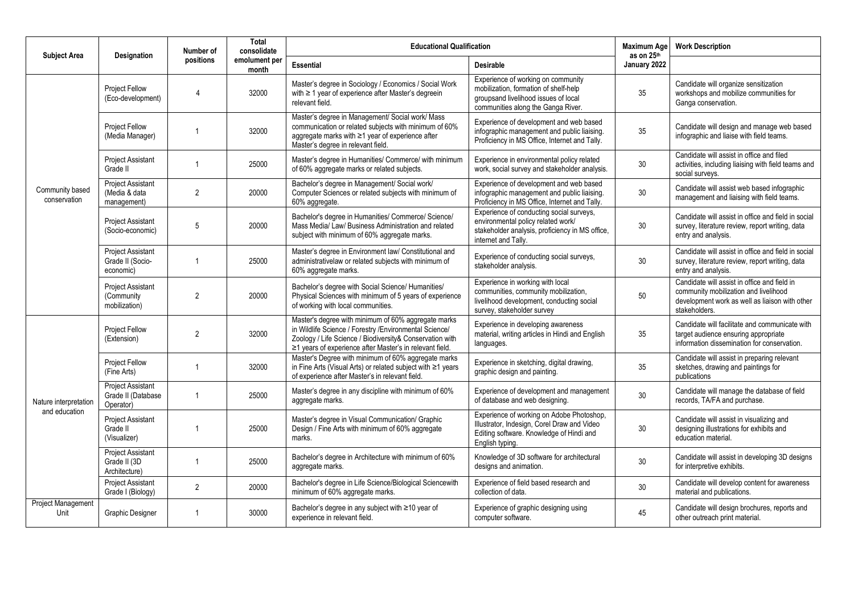| <b>Subject Area</b>                    |                                                             | Number of      | <b>Total</b><br>consolidate | <b>Educational Qualification</b>                                                                                                                                                                                                      |                                                                                                                                                           | <b>Maximum Age</b><br>as on 25th | <b>Work Description</b>                                                                                                                                  |  |
|----------------------------------------|-------------------------------------------------------------|----------------|-----------------------------|---------------------------------------------------------------------------------------------------------------------------------------------------------------------------------------------------------------------------------------|-----------------------------------------------------------------------------------------------------------------------------------------------------------|----------------------------------|----------------------------------------------------------------------------------------------------------------------------------------------------------|--|
|                                        | Designation                                                 | positions      | emolument per<br>month      | <b>Essential</b>                                                                                                                                                                                                                      | <b>Desirable</b>                                                                                                                                          | January 2022                     |                                                                                                                                                          |  |
|                                        | Project Fellow<br>(Eco-development)                         | 4              | 32000                       | Master's degree in Sociology / Economics / Social Work<br>with ≥ 1 year of experience after Master's degreein<br>relevant field.                                                                                                      | Experience of working on community<br>mobilization, formation of shelf-help<br>groupsand livelihood issues of local<br>communities along the Ganga River. | 35                               | Candidate will organize sensitization<br>workshops and mobilize communities for<br>Ganga conservation.                                                   |  |
|                                        | Project Fellow<br>(Media Manager)                           |                | 32000                       | Master's degree in Management/ Social work/ Mass<br>communication or related subjects with minimum of 60%<br>aggregate marks with ≥1 year of experience after<br>Master's degree in relevant field.                                   | Experience of development and web based<br>infographic management and public liaising.<br>Proficiency in MS Office, Internet and Tally.                   | 35                               | Candidate will design and manage web based<br>infographic and liaise with field teams.                                                                   |  |
|                                        | <b>Project Assistant</b><br>Grade II                        |                | 25000                       | Master's degree in Humanities/ Commerce/ with minimum<br>of 60% aggregate marks or related subjects.                                                                                                                                  | Experience in environmental policy related<br>work, social survey and stakeholder analysis.                                                               | 30                               | Candidate will assist in office and filed<br>activities, including liaising with field teams and<br>social surveys.                                      |  |
| Community based<br>conservation        | <b>Project Assistant</b><br>(Media & data<br>management)    | $\overline{2}$ | 20000                       | Bachelor's degree in Management/ Social work/<br>Computer Sciences or related subjects with minimum of<br>60% aggregate.                                                                                                              | Experience of development and web based<br>infographic management and public liaising.<br>Proficiency in MS Office, Internet and Tally.                   | 30                               | Candidate will assist web based infographic<br>management and liaising with field teams.                                                                 |  |
|                                        | <b>Project Assistant</b><br>(Socio-economic)                | 5              | 20000                       | Bachelor's degree in Humanities/ Commerce/ Science/<br>Mass Media/ Law/ Business Administration and related<br>subject with minimum of 60% aggregate marks.                                                                           | Experience of conducting social surveys,<br>environmental policy related work/<br>stakeholder analysis, proficiency in MS office,<br>internet and Tally.  | 30                               | Candidate will assist in office and field in social<br>survey, literature review, report writing, data<br>entry and analysis.                            |  |
|                                        | Project Assistant<br>Grade II (Socio-<br>economic)          | -1             | 25000                       | Master's degree in Environment law/ Constitutional and<br>administrativelaw or related subjects with minimum of<br>60% aggregate marks.                                                                                               | Experience of conducting social surveys,<br>stakeholder analysis.                                                                                         | 30                               | Candidate will assist in office and field in social<br>survey, literature review, report writing, data<br>entry and analysis.                            |  |
|                                        | <b>Project Assistant</b><br>(Community<br>mobilization)     | $\overline{2}$ | 20000                       | Bachelor's degree with Social Science/ Humanities/<br>Physical Sciences with minimum of 5 years of experience<br>of working with local communities.                                                                                   | Experience in working with local<br>communities, community mobilization,<br>livelihood development, conducting social<br>survey, stakeholder survey       | 50                               | Candidate will assist in office and field in<br>community mobilization and livelihood<br>development work as well as liaison with other<br>stakeholders. |  |
| Nature interpretation<br>and education | <b>Project Fellow</b><br>(Extension)                        | $\overline{2}$ | 32000                       | Master's degree with minimum of 60% aggregate marks<br>in Wildlife Science / Forestry /Environmental Science/<br>Zoology / Life Science / Biodiversity& Conservation with<br>≥1 years of experience after Master's in relevant field. | Experience in developing awareness<br>material, writing articles in Hindi and English<br>languages.                                                       | 35                               | Candidate will facilitate and communicate with<br>target audience ensuring appropriate<br>information dissemination for conservation.                    |  |
|                                        | <b>Project Fellow</b><br>(Fine Arts)                        |                | 32000                       | Master's Degree with minimum of 60% aggregate marks<br>in Fine Arts (Visual Arts) or related subject with ≥1 years<br>of experience after Master's in relevant field.                                                                 | Experience in sketching, digital drawing,<br>graphic design and painting.                                                                                 | 35                               | Candidate will assist in preparing relevant<br>sketches, drawing and paintings for<br>publications                                                       |  |
|                                        | <b>Project Assistant</b><br>Grade II (Database<br>Operator) | $\overline{1}$ | 25000                       | Master's degree in any discipline with minimum of 60%<br>aggregate marks.                                                                                                                                                             | Experience of development and management<br>of database and web designing.                                                                                | 30 <sup>°</sup>                  | Candidate will manage the database of field<br>records, TA/FA and purchase.                                                                              |  |
|                                        | Project Assistant<br>Grade II<br>(Visualizer)               |                | 25000                       | Master's degree in Visual Communication/ Graphic<br>Design / Fine Arts with minimum of 60% aggregate<br>marks.                                                                                                                        | Experience of working on Adobe Photoshop,<br>Illustrator, Indesign, Corel Draw and Video<br>Editing software. Knowledge of Hindi and<br>English typing.   | 30                               | Candidate will assist in visualizing and<br>designing illustrations for exhibits and<br>education material.                                              |  |
|                                        | <b>Project Assistant</b><br>Grade II (3D)<br>Architecture)  | -1             | 25000                       | Bachelor's degree in Architecture with minimum of 60%<br>aggregate marks.                                                                                                                                                             | Knowledge of 3D software for architectural<br>designs and animation.                                                                                      | 30                               | Candidate will assist in developing 3D designs<br>for interpretive exhibits.                                                                             |  |
|                                        | <b>Project Assistant</b><br>Grade I (Biology)               | $\overline{2}$ | 20000                       | Bachelor's degree in Life Science/Biological Sciencewith<br>minimum of 60% aggregate marks.                                                                                                                                           | Experience of field based research and<br>collection of data.                                                                                             | 30                               | Candidate will develop content for awareness<br>material and publications.                                                                               |  |
| <b>Project Management</b><br>Unit      | <b>Graphic Designer</b>                                     | -1             | 30000                       | Bachelor's degree in any subject with ≥10 year of<br>experience in relevant field.                                                                                                                                                    | Experience of graphic designing using<br>computer software.                                                                                               | 45                               | Candidate will design brochures, reports and<br>other outreach print material.                                                                           |  |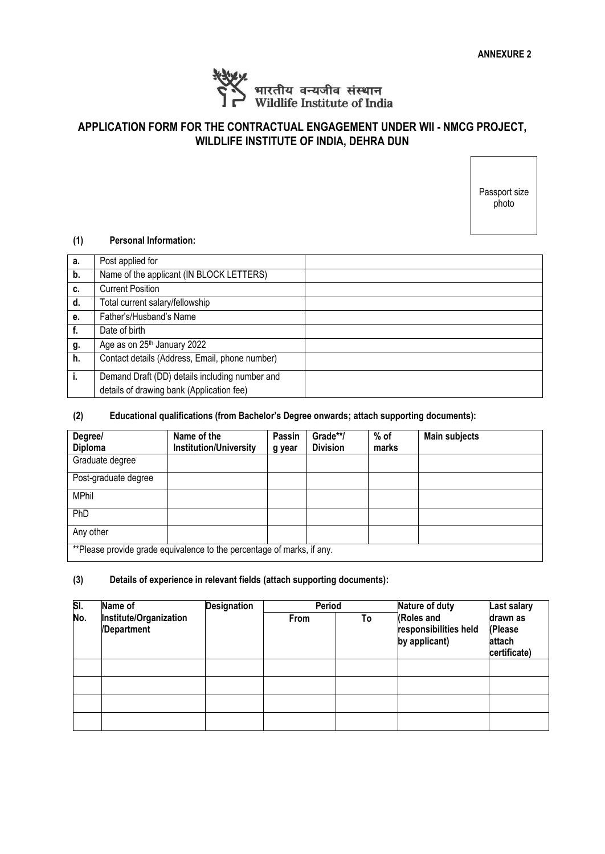

## **APPLICATION FORM FOR THE CONTRACTUAL ENGAGEMENT UNDER WII - NMCG PROJECT, WILDLIFE INSTITUTE OF INDIA, DEHRA DUN**

Passport size photo

#### **(1) Personal Information:**

| а. | Post applied for                               |  |
|----|------------------------------------------------|--|
| b. | Name of the applicant (IN BLOCK LETTERS)       |  |
| c. | <b>Current Position</b>                        |  |
| d. | Total current salary/fellowship                |  |
| е. | Father's/Husband's Name                        |  |
| f. | Date of birth                                  |  |
| g. | Age as on 25 <sup>th</sup> January 2022        |  |
| h. | Contact details (Address, Email, phone number) |  |
| j. | Demand Draft (DD) details including number and |  |
|    | details of drawing bank (Application fee)      |  |

#### **(2) Educational qualifications (from Bachelor's Degree onwards; attach supporting documents):**

| Degree/              | Name of the                                                            | Passin | Grade**/        | $%$ of | <b>Main subjects</b> |
|----------------------|------------------------------------------------------------------------|--------|-----------------|--------|----------------------|
| <b>Diploma</b>       | <b>Institution/University</b>                                          | g year | <b>Division</b> | marks  |                      |
| Graduate degree      |                                                                        |        |                 |        |                      |
| Post-graduate degree |                                                                        |        |                 |        |                      |
| <b>MPhil</b>         |                                                                        |        |                 |        |                      |
| PhD                  |                                                                        |        |                 |        |                      |
| Any other            |                                                                        |        |                 |        |                      |
|                      | **Please provide grade equivalence to the percentage of marks, if any. |        |                 |        |                      |

#### **(3) Details of experience in relevant fields (attach supporting documents):**

| SI. | Name of                               | <b>Designation</b> | Period |    | Nature of duty                                       | <b>Last salary</b>                            |
|-----|---------------------------------------|--------------------|--------|----|------------------------------------------------------|-----------------------------------------------|
| No. | Institute/Organization<br>/Department |                    | From   | To | (Roles and<br>responsibilities held<br>by applicant) | drawn as<br>(Please<br>attach<br>certificate) |
|     |                                       |                    |        |    |                                                      |                                               |
|     |                                       |                    |        |    |                                                      |                                               |
|     |                                       |                    |        |    |                                                      |                                               |
|     |                                       |                    |        |    |                                                      |                                               |